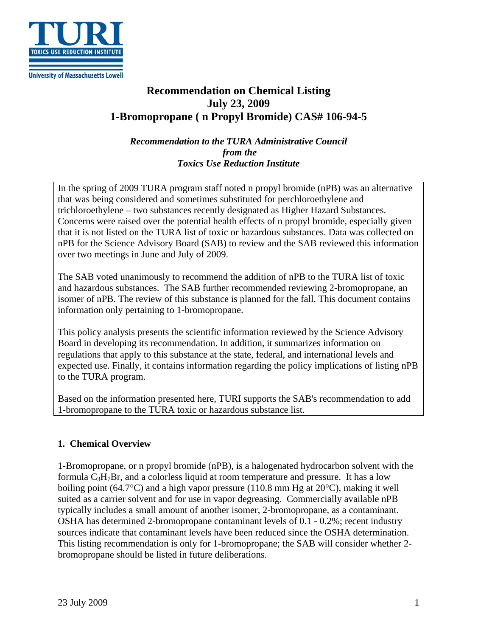

**University of Massachusetts Lowell** 

# **Recommendation on Chemical Listing July 23, 2009 1-Bromopropane ( n Propyl Bromide) CAS# 106-94-5**

*Recommendation to the TURA Administrative Council from the Toxics Use Reduction Institute*

In the spring of 2009 TURA program staff noted n propyl bromide (nPB) was an alternative that was being considered and sometimes substituted for perchloroethylene and trichloroethylene – two substances recently designated as Higher Hazard Substances. Concerns were raised over the potential health effects of n propyl bromide, especially given that it is not listed on the TURA list of toxic or hazardous substances. Data was collected on nPB for the Science Advisory Board (SAB) to review and the SAB reviewed this information over two meetings in June and July of 2009.

The SAB voted unanimously to recommend the addition of nPB to the TURA list of toxic and hazardous substances. The SAB further recommended reviewing 2-bromopropane, an isomer of nPB. The review of this substance is planned for the fall. This document contains information only pertaining to 1-bromopropane.

This policy analysis presents the scientific information reviewed by the Science Advisory Board in developing its recommendation. In addition, it summarizes information on regulations that apply to this substance at the state, federal, and international levels and expected use. Finally, it contains information regarding the policy implications of listing nPB to the TURA program.

Based on the information presented here, TURI supports the SAB's recommendation to add 1-bromopropane to the TURA toxic or hazardous substance list.

## **1. Chemical Overview**

1-Bromopropane, or n propyl bromide (nPB), is a halogenated hydrocarbon solvent with the formula  $C_3H_7Br$ , and a colorless liquid at room temperature and pressure. It has a low boiling point (64.7°C) and a high vapor pressure (110.8 mm Hg at  $20^{\circ}$ C), making it well suited as a carrier solvent and for use in vapor degreasing. Commercially available nPB typically includes a small amount of another isomer, 2-bromopropane, as a contaminant. OSHA has determined 2-bromopropane contaminant levels of 0.1 - 0.2%; recent industry sources indicate that contaminant levels have been reduced since the OSHA determination. This listing recommendation is only for 1-bromopropane; the SAB will consider whether 2 bromopropane should be listed in future deliberations.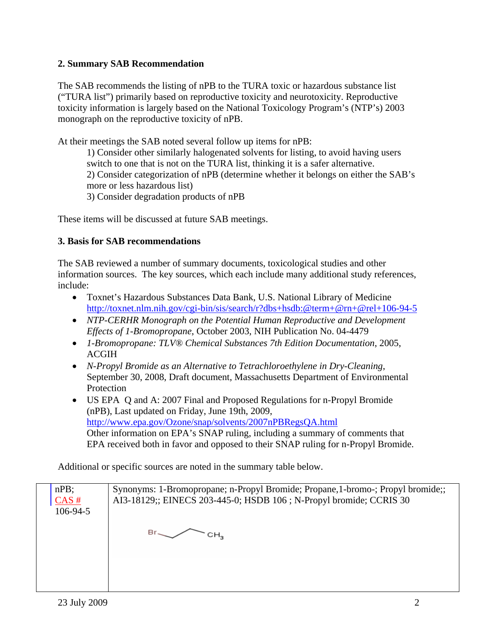## **2. Summary SAB Recommendation**

The SAB recommends the listing of nPB to the TURA toxic or hazardous substance list ("TURA list") primarily based on reproductive toxicity and neurotoxicity. Reproductive toxicity information is largely based on the National Toxicology Program's (NTP's) 2003 monograph on the reproductive toxicity of nPB.

At their meetings the SAB noted several follow up items for nPB:

1) Consider other similarly halogenated solvents for listing, to avoid having users switch to one that is not on the TURA list, thinking it is a safer alternative. 2) Consider categorization of nPB (determine whether it belongs on either the SAB's more or less hazardous list)

3) Consider degradation products of nPB

These items will be discussed at future SAB meetings.

## **3. Basis for SAB recommendations**

The SAB reviewed a number of summary documents, toxicological studies and other information sources. The key sources, which each include many additional study references, include:

- Toxnet's Hazardous Substances Data Bank, U.S. National Library of Medicine http://toxnet.nlm.nih.gov/cgi-bin/sis/search/r?dbs+hsdb:@term+@rn+@rel+106-94-5
- *NTP-CERHR Monograph on the Potential Human Reproductive and Development Effects of 1-Bromopropane*, October 2003, NIH Publication No. 04-4479
- *1-Bromopropane: TLV® Chemical Substances 7th Edition Documentation*, 2005, ACGIH
- *N-Propyl Bromide as an Alternative to Tetrachloroethylene in Dry-Cleaning*, September 30, 2008, Draft document, Massachusetts Department of Environmental Protection
- US EPA Q and A: 2007 Final and Proposed Regulations for n-Propyl Bromide (nPB), Last updated on Friday, June 19th, 2009, http://www.epa.gov/Ozone/snap/solvents/2007nPBRegsQA.html Other information on EPA's SNAP ruling, including a summary of comments that EPA received both in favor and opposed to their SNAP ruling for n-Propyl Bromide.

Additional or specific sources are noted in the summary table below.

| $nPB$ ;  | Synonyms: 1-Bromopropane; n-Propyl Bromide; Propane, 1-bromo-; Propyl bromide;; |
|----------|---------------------------------------------------------------------------------|
| CAS#     | AI3-18129;; EINECS 203-445-0; HSDB 106; N-Propyl bromide; CCRIS 30              |
| 106-94-5 |                                                                                 |
|          |                                                                                 |
|          |                                                                                 |
|          |                                                                                 |
|          |                                                                                 |
|          |                                                                                 |
|          |                                                                                 |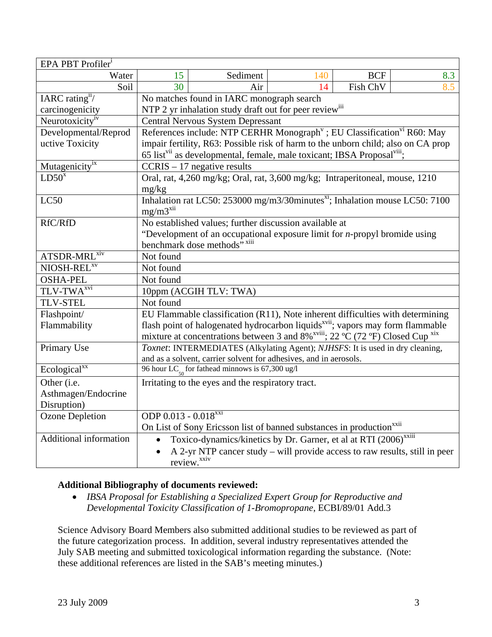| EPA PBT Profiler <sup>i</sup> |                                                                                                                                                                                                  |                                                                              |     |            |     |  |  |
|-------------------------------|--------------------------------------------------------------------------------------------------------------------------------------------------------------------------------------------------|------------------------------------------------------------------------------|-----|------------|-----|--|--|
| Water                         | 15                                                                                                                                                                                               | Sediment                                                                     | 140 | <b>BCF</b> | 8.3 |  |  |
| Soil                          | 30                                                                                                                                                                                               | Air                                                                          | 14  | Fish ChV   | 8.5 |  |  |
| IARC rating $i$ /             | No matches found in IARC monograph search                                                                                                                                                        |                                                                              |     |            |     |  |  |
| carcinogenicity               | NTP 2 yr inhalation study draft out for peer review <sup>iii</sup>                                                                                                                               |                                                                              |     |            |     |  |  |
| Neurotoxicity <sup>iv</sup>   | <b>Central Nervous System Depressant</b>                                                                                                                                                         |                                                                              |     |            |     |  |  |
| Developmental/Reprod          | References include: NTP CERHR Monograph <sup>v</sup> ; EU Classification <sup>vi</sup> R60: May                                                                                                  |                                                                              |     |            |     |  |  |
| uctive Toxicity               | impair fertility, R63: Possible risk of harm to the unborn child; also on CA prop                                                                                                                |                                                                              |     |            |     |  |  |
|                               | 65 list <sup>vii</sup> as developmental, female, male toxicant; IBSA Proposal <sup>viii</sup> ;                                                                                                  |                                                                              |     |            |     |  |  |
| Mutagenicity <sup>ix</sup>    | $CCRIS - 17$ negative results                                                                                                                                                                    |                                                                              |     |            |     |  |  |
| $LD50^x$                      | Oral, rat, 4,260 mg/kg; Oral, rat, 3,600 mg/kg; Intraperitoneal, mouse, 1210                                                                                                                     |                                                                              |     |            |     |  |  |
|                               | mg/kg                                                                                                                                                                                            |                                                                              |     |            |     |  |  |
| LC50                          | Inhalation rat LC50: 253000 mg/m3/30minutes <sup>xi</sup> ; Inhalation mouse LC50: 7100                                                                                                          |                                                                              |     |            |     |  |  |
|                               | $mg/m3^{xii}$                                                                                                                                                                                    |                                                                              |     |            |     |  |  |
| RfC/RfD                       | No established values; further discussion available at                                                                                                                                           |                                                                              |     |            |     |  |  |
|                               | "Development of an occupational exposure limit for $n$ -propyl bromide using                                                                                                                     |                                                                              |     |            |     |  |  |
|                               |                                                                                                                                                                                                  | benchmark dose methods" xiii                                                 |     |            |     |  |  |
| ATSDR-MRL <sup>xiv</sup>      | Not found                                                                                                                                                                                        |                                                                              |     |            |     |  |  |
| NIOSH-REL <sup>XV</sup>       | Not found                                                                                                                                                                                        |                                                                              |     |            |     |  |  |
| <b>OSHA-PEL</b>               | Not found                                                                                                                                                                                        |                                                                              |     |            |     |  |  |
| TLV-TWA <sup>xvi</sup>        | 10ppm (ACGIH TLV: TWA)                                                                                                                                                                           |                                                                              |     |            |     |  |  |
| <b>TLV-STEL</b>               | Not found                                                                                                                                                                                        |                                                                              |     |            |     |  |  |
| Flashpoint/                   | EU Flammable classification (R11), Note inherent difficulties with determining                                                                                                                   |                                                                              |     |            |     |  |  |
| Flammability                  |                                                                                                                                                                                                  |                                                                              |     |            |     |  |  |
|                               | flash point of halogenated hydrocarbon liquids <sup>xvii</sup> ; vapors may form flammable mixture at concentrations between 3 and 8% <sup>xviii</sup> ; 22 °C (72 °F) Closed Cup <sup>xix</sup> |                                                                              |     |            |     |  |  |
| Primary Use                   | Toxnet: INTERMEDIATES (Alkylating Agent); NJHSFS: It is used in dry cleaning,                                                                                                                    |                                                                              |     |            |     |  |  |
|                               | and as a solvent, carrier solvent for adhesives, and in aerosols.                                                                                                                                |                                                                              |     |            |     |  |  |
| Ecological $\overline{X}X$    | 96 hour LC <sub><math>\epsilon</math></sub> for fathead minnows is 67,300 ug/l                                                                                                                   |                                                                              |     |            |     |  |  |
| Other (i.e.                   | Irritating to the eyes and the respiratory tract.                                                                                                                                                |                                                                              |     |            |     |  |  |
| Asthmagen/Endocrine           |                                                                                                                                                                                                  |                                                                              |     |            |     |  |  |
| Disruption)                   |                                                                                                                                                                                                  |                                                                              |     |            |     |  |  |
| <b>Ozone Depletion</b>        | ODP 0.013 - 0.018 <sup>xxi</sup>                                                                                                                                                                 |                                                                              |     |            |     |  |  |
|                               | On List of Sony Ericsson list of banned substances in production <sup>xx11</sup>                                                                                                                 |                                                                              |     |            |     |  |  |
| Additional information        | $\bullet$                                                                                                                                                                                        | Toxico-dynamics/kinetics by Dr. Garner, et al at RTI (2006) <sup>xxiii</sup> |     |            |     |  |  |
|                               | A 2-yr NTP cancer study – will provide access to raw results, still in peer                                                                                                                      |                                                                              |     |            |     |  |  |
|                               | review. <sup>xxiv</sup>                                                                                                                                                                          |                                                                              |     |            |     |  |  |

# **Additional Bibliography of documents reviewed:**

• *IBSA Proposal for Establishing a Specialized Expert Group for Reproductive and Developmental Toxicity Classification of 1-Bromopropane*, ECBI/89/01 Add.3

Science Advisory Board Members also submitted additional studies to be reviewed as part of the future categorization process. In addition, several industry representatives attended the July SAB meeting and submitted toxicological information regarding the substance. (Note: these additional references are listed in the SAB's meeting minutes.)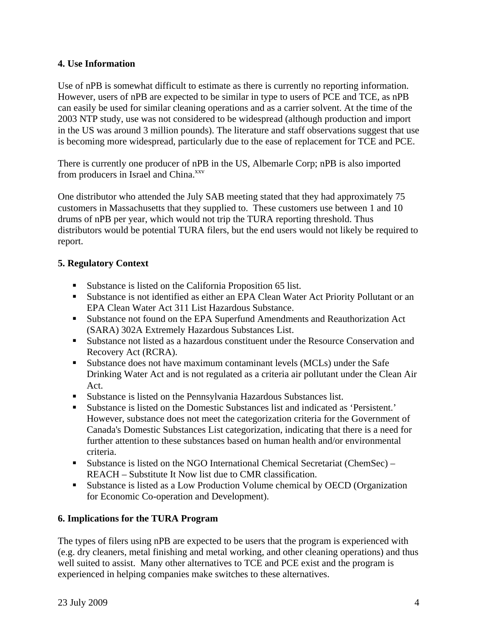# **4. Use Information**

Use of nPB is somewhat difficult to estimate as there is currently no reporting information. However, users of nPB are expected to be similar in type to users of PCE and TCE, as nPB can easily be used for similar cleaning operations and as a carrier solvent. At the time of the 2003 NTP study, use was not considered to be widespread (although production and import in the US was around 3 million pounds). The literature and staff observations suggest that use is becoming more widespread, particularly due to the ease of replacement for TCE and PCE.

There is currently one producer of nPB in the US, Albemarle Corp; nPB is also imported from producers in Israel and China.<sup>xxv</sup>

One distributor who attended the July SAB meeting stated that they had approximately 75 customers in Massachusetts that they supplied to. These customers use between 1 and 10 drums of nPB per year, which would not trip the TURA reporting threshold. Thus distributors would be potential TURA filers, but the end users would not likely be required to report.

# **5. Regulatory Context**

- Substance is listed on the California Proposition 65 list.
- Substance is not identified as either an EPA Clean Water Act Priority Pollutant or an EPA Clean Water Act 311 List Hazardous Substance.
- Substance not found on the EPA Superfund Amendments and Reauthorization Act (SARA) 302A Extremely Hazardous Substances List.
- Substance not listed as a hazardous constituent under the Resource Conservation and Recovery Act (RCRA).
- Substance does not have maximum contaminant levels (MCLs) under the Safe Drinking Water Act and is not regulated as a criteria air pollutant under the Clean Air Act.
- Substance is listed on the Pennsylvania Hazardous Substances list.
- Substance is listed on the Domestic Substances list and indicated as 'Persistent.' However, substance does not meet the categorization criteria for the Government of Canada's Domestic Substances List categorization, indicating that there is a need for further attention to these substances based on human health and/or environmental criteria.
- Substance is listed on the NGO International Chemical Secretariat (ChemSec) REACH – Substitute It Now list due to CMR classification.
- Substance is listed as a Low Production Volume chemical by OECD (Organization for Economic Co-operation and Development).

## **6. Implications for the TURA Program**

The types of filers using nPB are expected to be users that the program is experienced with (e.g. dry cleaners, metal finishing and metal working, and other cleaning operations) and thus well suited to assist. Many other alternatives to TCE and PCE exist and the program is experienced in helping companies make switches to these alternatives.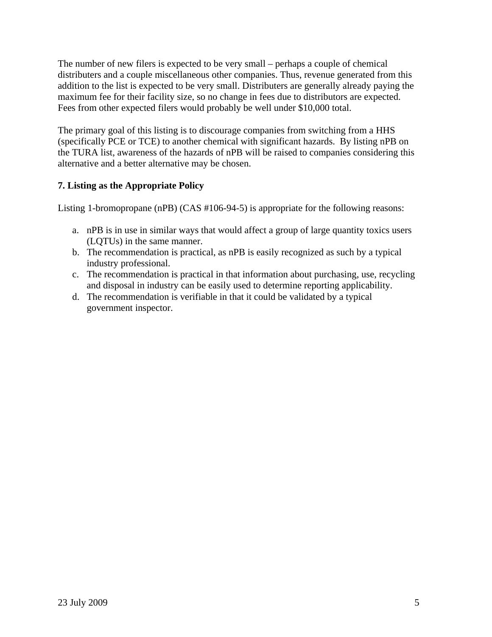The number of new filers is expected to be very small – perhaps a couple of chemical distributers and a couple miscellaneous other companies. Thus, revenue generated from this addition to the list is expected to be very small. Distributers are generally already paying the maximum fee for their facility size, so no change in fees due to distributors are expected. Fees from other expected filers would probably be well under \$10,000 total.

The primary goal of this listing is to discourage companies from switching from a HHS (specifically PCE or TCE) to another chemical with significant hazards. By listing nPB on the TURA list, awareness of the hazards of nPB will be raised to companies considering this alternative and a better alternative may be chosen.

# **7. Listing as the Appropriate Policy**

Listing 1-bromopropane (nPB) (CAS #106-94-5) is appropriate for the following reasons:

- a. nPB is in use in similar ways that would affect a group of large quantity toxics users (LQTUs) in the same manner.
- b. The recommendation is practical, as nPB is easily recognized as such by a typical industry professional.
- c. The recommendation is practical in that information about purchasing, use, recycling and disposal in industry can be easily used to determine reporting applicability.
- d. The recommendation is verifiable in that it could be validated by a typical government inspector.